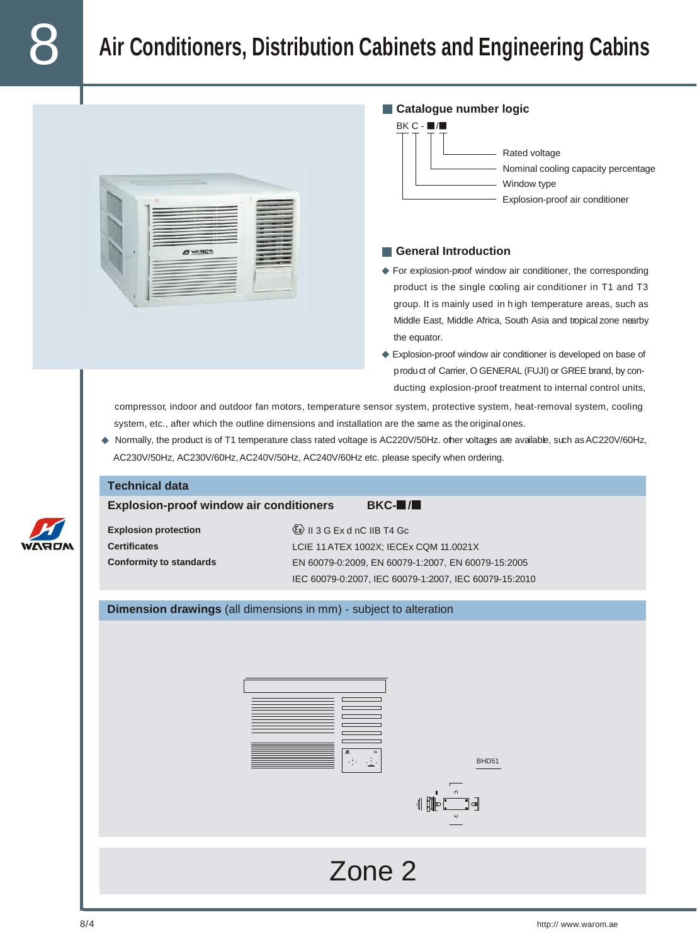## 8 **Air Conditioners, Distribution Cabinets and Engineering Cabins**





## **General Introduction**

- For explosion-proof window air conditioner, the corresponding product is the single cooling air conditioner in T1 and T3 group. It is mainly used in h igh temperature areas, such as Middle East, Middle Africa, South Asia and tropical zone nearby the equator.
- Explosion-proof window air conditioner is developed on base of product of Carrier, O GENERAL (FUJI) or GREE brand, by conducting explosion-proof treatment to internal control units,

compressor, indoor and outdoor fan motors, temperature sensor system, protective system, heat-removal system, cooling system, etc., after which the outline dimensions and installation are the same as the original ones.

♦ Normally, the product is of T1 temperature class rated voltage is AC220V/50Hz. other voltages are available, such as AC220V/60Hz, AC230V/50Hz, AC230V/60Hz, AC240V/50Hz, AC240V/60Hz etc. please specify when ordering.

| <b>Technical data</b>                                                                     |                                                                                                                                                                                                        |  |  |  |
|-------------------------------------------------------------------------------------------|--------------------------------------------------------------------------------------------------------------------------------------------------------------------------------------------------------|--|--|--|
| <b>Explosion-proof window air conditioners</b><br>$BKC$ - $\blacksquare$ / $\blacksquare$ |                                                                                                                                                                                                        |  |  |  |
| <b>Explosion protection</b><br><b>Certificates</b><br><b>Conformity to standards</b>      | $\langle 5x \rangle$ II 3 G Ex d nC IIB T4 Gc<br>LCIE 11 ATEX 1002X; IECEx CQM 11.0021X<br>EN 60079-0:2009, EN 60079-1:2007, EN 60079-15:2005<br>IEC 60079-0:2007, IEC 60079-1:2007, IEC 60079-15:2010 |  |  |  |
| Dimension drawings (all dimensions in mm) - subject to alteration                         |                                                                                                                                                                                                        |  |  |  |
|                                                                                           |                                                                                                                                                                                                        |  |  |  |
|                                                                                           |                                                                                                                                                                                                        |  |  |  |
|                                                                                           | BHD51                                                                                                                                                                                                  |  |  |  |
|                                                                                           | 40<br>]⊲                                                                                                                                                                                               |  |  |  |
|                                                                                           |                                                                                                                                                                                                        |  |  |  |
|                                                                                           |                                                                                                                                                                                                        |  |  |  |
|                                                                                           | Zone 2                                                                                                                                                                                                 |  |  |  |